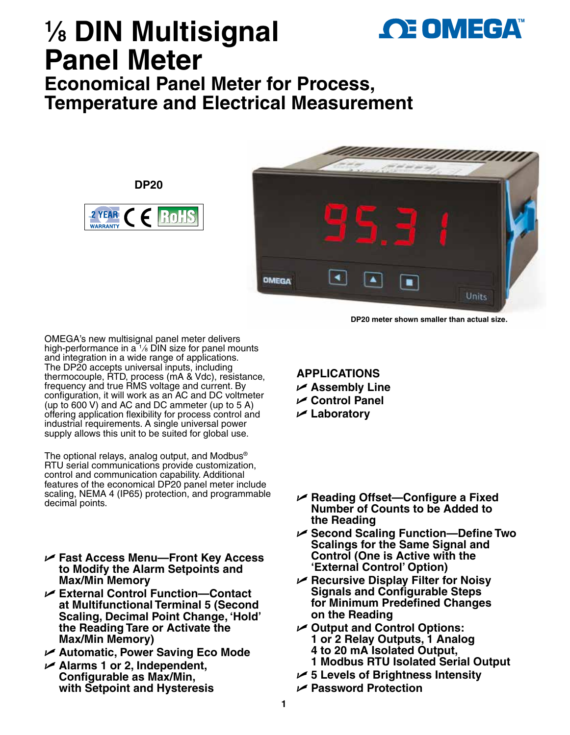

# **1 ⁄8 DIN Multisignal Panel Meter**

**DP20**

2 YEAR

**WARRANTY** 

**Economical Panel Meter for Process, Temperature and Electrical Measurement**

> ٠ **OMEGA**  $\blacktriangle$ н **Units**

> > **DP20 meter shown smaller than actual size.**

OMEGA's new multisignal panel meter delivers high-performance in  $a^t$  /<sub>8</sub> DIN size for panel mounts and integration in a wide range of applications. The DP20 accepts universal inputs, including thermocouple, RTD, process (mA & Vdc), resistance, frequency and true RMS voltage and current. By configuration, it will work as an AC and DC voltmeter (up to 600 V) and AC and DC ammeter (up to 5 A) offering application flexibility for process control and industrial requirements. A single universal power supply allows this unit to be suited for global use.

The optional relays, analog output, and Modbus® RTU serial communications provide customization, control and communication capability. Additional features of the economical DP20 panel meter include scaling, NEMA 4 (IP65) protection, and programmable decimal points.

- U **Fast Access Menu—Front Key Access to Modify the Alarm Setpoints and Max/Min Memory**
- U **External Control Function—Contact at Multifunctional Terminal 5 (Second Scaling, Decimal Point Change, 'Hold' the Reading Tare or Activate the Max/Min Memory)**
- U **Automatic, Power Saving Eco Mode**
- U **Alarms 1 or 2, Independent, Configurable as Max/Min, with Setpoint and Hysteresis**

# **APPLICATIONS**

- U **Assembly Line**
- U **Control Panel**
- U **Laboratory**
- U **Reading Offset—Configure a Fixed Number of Counts to be Added to the Reading**
- U **Second Scaling Function—Define Two Scalings for the Same Signal and Control (One is Active with the 'External Control' Option)**
- U **Recursive Display Filter for Noisy Signals and Configurable Steps for Minimum Predefined Changes on the Reading**
- U **Output and Control Options: 1 or 2 Relay Outputs, 1 Analog 4 to 20 mA Isolated Output,** 
	- **1 Modbus RTU Isolated Serial Output**
- U **5 Levels of Brightness Intensity**
- U **Password Protection**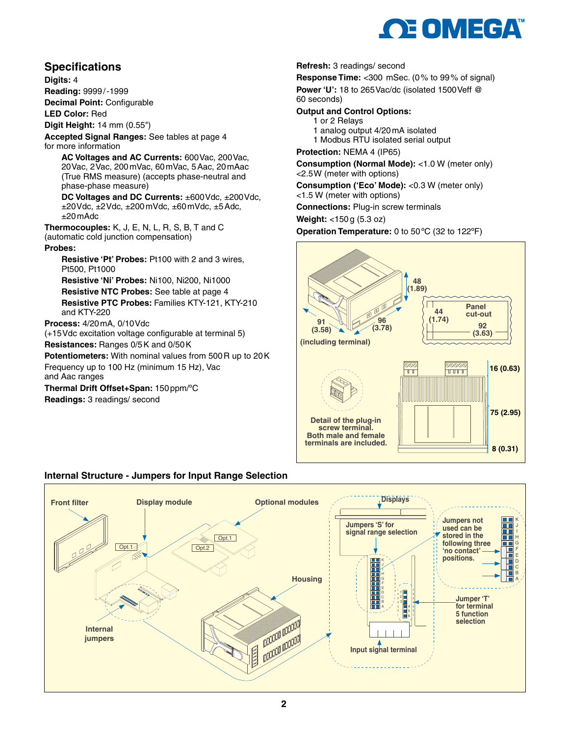

# **Specifications**

**Digits:** 4

**Reading:** 9999/-1999

**Decimal Point:** Configurable

**LED Color:** Red

**Digit Height:** 14 mm (0.55")

**Accepted Signal Ranges:** See tables at page 4 for more information

 **AC Voltages and AC Currents:** 600Vac, 200Vac, 20Vac, 2Vac, 200mVac, 60mVac, 5Aac, 20mAac (True RMS measure) (accepts phase-neutral and phase-phase measure)

 **DC Voltages and DC Currents:** ±600Vdc, ±200Vdc,  $\pm$ 20Vdc,  $\pm$ 2Vdc,  $\pm$ 200 mVdc,  $\pm$ 60 mVdc,  $\pm$ 5 Adc,  $+20$  mAdc

**Thermocouples:** K, J, E, N, L, R, S, B, T and C (automatic cold junction compensation)

#### **Probes:**

 **Resistive 'Pt' Probes:** Pt100 with 2 and 3 wires, Pt500, Pt1000

**Resistive 'Ni' Probes:** Ni100, Ni200, Ni1000 **Resistive NTC Probes:** See table at page 4  **Resistive PTC Probes:** Families KTY-121, KTY-210 and KTY-220

#### **Process:** 4/20mA, 0/10Vdc

(+15Vdc excitation voltage configurable at terminal 5) **Resistances:** Ranges 0/5K and 0/50K

**Potentiometers:** With nominal values from 500R up to 20K Frequency up to 100 Hz (minimum 15 Hz), Vac and Aac ranges

**Thermal Drift Offset+Span:** 150ppm/ºC **Readings:** 3 readings/ second

#### **Refresh:** 3 readings/ second

**Response Time:** <300 mSec. (0% to 99% of signal) **Power 'U':** 18 to 265Vac/dc (isolated 1500Veff @ 60 seconds)

#### **Output and Control Options:**

- 1 or 2 Relays
- 1 analog output 4/20mA isolated
- 1 Modbus RTU isolated serial output

**Protection:** NEMA 4 (IP65)

**Consumption (Normal Mode):** <1.0 W (meter only) <2.5W (meter with options)

**Consumption ('Eco' Mode):** <0.3 W (meter only)

<1.5 W (meter with options)

**Connections:** Plug-in screw terminals

**Weight:** <150g (5.3 oz)

**Operation Temperature:** 0 to 50ºC (32 to 122ºF)



### **Internal Structure - Jumpers for Input Range Selection**

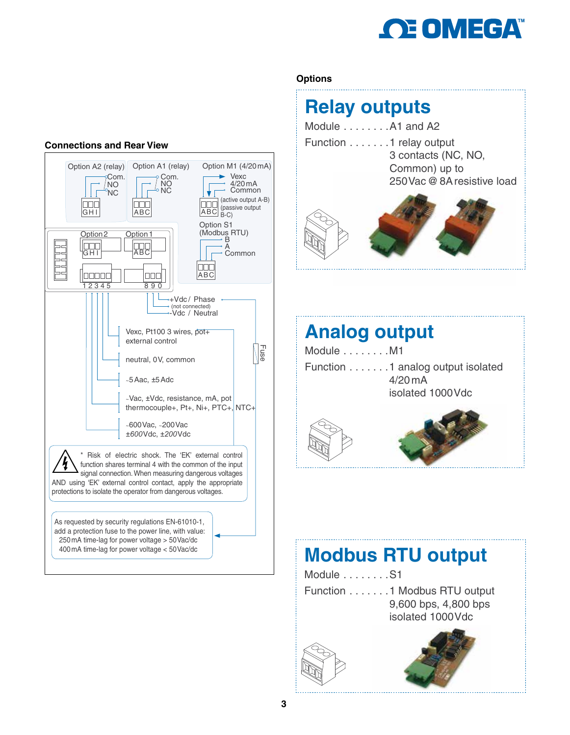

## **Connections and Rear View**



# **Options**

# **Relay outputs**

- Module . . . . . . . . A1 and A2
- Function . . . . . . .1 relay output 3 contacts (NC, NO, Common) up to 250Vac@8Aresistive load



# **Analog output**

| Module M1 |                                   |
|-----------|-----------------------------------|
|           | Function 1 analog output isolated |
|           | $4/20$ mA                         |
|           | isolated 1000 Vdc                 |
|           |                                   |





# **Modbus RTU output**

Module . . . . . . . . S1 Function . . . . . . .1 Modbus RTU output 9,600 bps, 4,800 bps isolated 1000Vdc



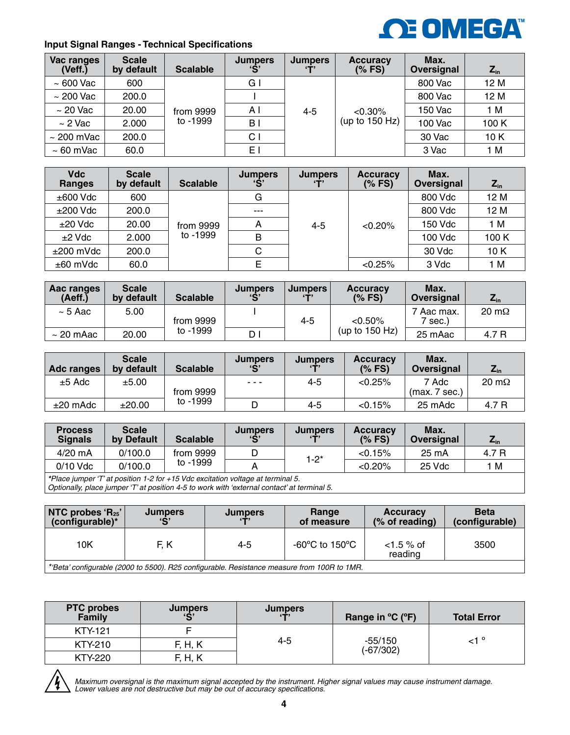

### **Input Signal Ranges - Technical Specifications**

| Vac ranges<br>(Veff.) | <b>Scale</b><br>by default | <b>Scalable</b> | <b>Jumpers</b><br>$\mathbf{S}$ | <b>Jumpers</b> | <b>Accuracy</b><br>(% FS) | Max.<br>Oversignal | $Z_{\rm in}$ |
|-----------------------|----------------------------|-----------------|--------------------------------|----------------|---------------------------|--------------------|--------------|
| $\sim 600$ Vac        | 600                        |                 | G I                            |                |                           | 800 Vac            | 12 M         |
| $\sim$ 200 Vac        | 200.0                      |                 |                                |                |                           | 800 Vac            | 12 M         |
| $\sim$ 20 Vac         | 20.00                      | from 9999       | ΑI                             | 4-5            | $< 0.30\%$                | 150 Vac            | 1 M          |
| $\sim$ 2 Vac          | 2.000                      | to -1999        | B                              |                | (up to $150$ Hz)          | <b>100 Vac</b>     | 100 K        |
| $\sim$ 200 mVac       | 200.0                      |                 | C <sub>1</sub>                 |                |                           | 30 Vac             | 10K          |
| $\sim 60$ mVac        | 60.0                       |                 | E.                             |                |                           | 3 Vac              | 1 M          |

| <b>Vdc</b><br>Ranges | <b>Scale</b><br>by default | <b>Scalable</b> | <b>Jumpers</b><br>$\mathbf{G}$ | <b>Jumpers</b><br>$\mathbf{T}$ | <b>Accuracy</b><br>(% FS) | Max.<br>Oversignal | $Z_{\rm in}$ |
|----------------------|----------------------------|-----------------|--------------------------------|--------------------------------|---------------------------|--------------------|--------------|
| $\pm 600$ Vdc        | 600                        |                 | G                              |                                |                           | 800 Vdc            | 12 M         |
| $±200$ Vdc           | 200.0                      |                 | $- - -$                        |                                |                           | 800 Vdc            | 12 M         |
| $±20$ Vdc            | 20.00                      | from 9999       | А                              | $4 - 5$                        | < 0.20%                   | 150 Vdc            | 1 M          |
| $±2$ Vdc             | 2.000                      | to -1999        | B                              |                                |                           | 100 Vdc            | 100 K        |
| $\pm 200$ mVdc       | 200.0                      |                 | C                              |                                |                           | 30 Vdc             | 10 K         |
| $±60$ mVdc           | 60.0                       |                 |                                |                                | $< 0.25\%$                | 3 Vdc              | 1 M          |

| Aac ranges<br>(Aeff.) | <b>Scale</b><br>by default | <b>Scalable</b> | <b>Jumpers</b><br>C | <b>Jumpers</b><br>57 | <b>Accuracy</b><br>(% FS) | Max.<br>Oversignal     | $Z_{\text{in}}$      |
|-----------------------|----------------------------|-----------------|---------------------|----------------------|---------------------------|------------------------|----------------------|
| $\sim$ 5 Aac $\,$     | 5.00                       | from 9999       |                     | 4-5                  | $< 0.50\%$                | 7 Aac max.<br>$7$ sec. | $20 \text{ m}\Omega$ |
| $\sim$ 20 mAac        | 20.00                      | to -1999        | D                   |                      | (up to $150$ Hz)          | 25 mAac                | 4.7 R                |

| Adc ranges | <b>Scale</b><br>by default | <b>Scalable</b> | <b>Jumpers</b><br>C                                                                            | <b>Jumpers</b><br>$5 - 7$ | <b>Accuracy</b><br>(% FS) | Max.<br>Oversignal    | $Z_{\rm in}$         |
|------------|----------------------------|-----------------|------------------------------------------------------------------------------------------------|---------------------------|---------------------------|-----------------------|----------------------|
| $±5$ Adc   | ±5.00                      | from 9999       | $\frac{1}{2} \left( \frac{1}{2} \right) \left( \frac{1}{2} \right) \left( \frac{1}{2} \right)$ | 4-5                       | < 0.25%                   | 7 Adc<br>(max.7 sec.) | $20 \text{ m}\Omega$ |
| $±20$ mAdc | ±20.00                     | to -1999        |                                                                                                | 4-5                       | < 0.15%                   | 25 mAdc               | 4.7 R                |

| <b>Process</b><br><b>Signals</b> | <b>Scale</b><br>by Default | <b>Scalable</b> | <b>Jumpers</b><br>$\mathbf{G}$ | <b>Jumpers</b><br>(T | <b>Accuracy</b><br>(%FS) | Max.<br>Oversignal | $L_{in}$ |
|----------------------------------|----------------------------|-----------------|--------------------------------|----------------------|--------------------------|--------------------|----------|
| $4/20$ mA                        | 0/100.0                    | from 9999       |                                | $1-2^{*}$            | < 0.15%                  | 25 mA              | 4.7 R    |
| $0/10$ Vdc                       | 0/100.0                    | to -1999        |                                |                      | $< 0.20\%$               | 25 Vdc             | 1 M      |
|                                  |                            |                 |                                |                      |                          |                    |          |

*\*Place jumper 'T' at position 1-2 for +15 Vdc excitation voltage at terminal 5. Optionally, place jumper 'T' at position 4-5 to work with 'external contact' at terminal 5.*

| NTC probes 'R <sub>25</sub> '<br>(configurable)* | <b>Jumpers</b><br>C                                                                         | <b>Jumpers</b> | Range<br>of measure | <b>Accuracy</b><br>$(\%$ of reading) | <b>Beta</b><br>(configurable) |
|--------------------------------------------------|---------------------------------------------------------------------------------------------|----------------|---------------------|--------------------------------------|-------------------------------|
| 10K                                              | F. K                                                                                        | 4-5            | -60°C to 150°C      | $<$ 1.5 % of<br>reading              | 3500                          |
|                                                  | *'Beta' configurable (2000 to 5500). R25 configurable. Resistance measure from 100R to 1MR. |                |                     |                                      |                               |

*\*'Beta' configurable (2000 to 5500). R25 configurable. Resistance measure from 100R to 1MR.*

| <b>PTC probes</b><br>Family | <b>Jumpers</b><br>$\overline{c}$ | <b>Jumpers</b> | Range in $^{\circ}C$ ( $^{\circ}F$ ) | <b>Total Error</b> |
|-----------------------------|----------------------------------|----------------|--------------------------------------|--------------------|
| <b>KTY-121</b>              |                                  |                |                                      |                    |
| KTY-210                     | F, H, K                          | 4-5            | $-55/150$<br>$(-67/302)$             | <sup>ہ</sup> 1۔    |
| KTY-220                     | F, H, K                          |                |                                      |                    |



*Maximum oversignal is the maximum signal accepted by the instrument. Higher signal values may cause instrument damage. Lower values are not destructive but may be out of accuracy specifications.*